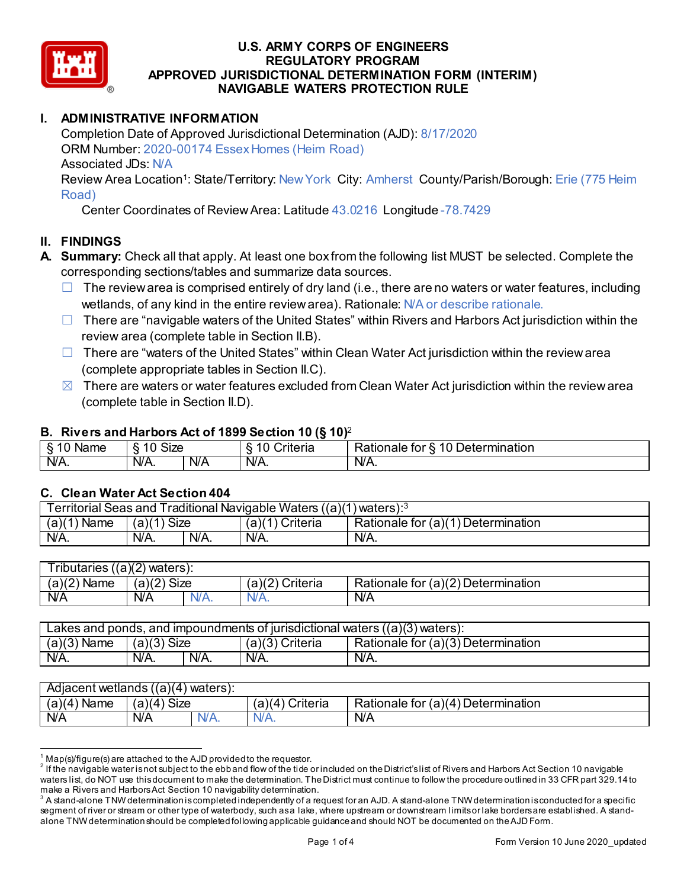

# **I. ADMINISTRATIVE INFORMATION**

Completion Date of Approved Jurisdictional Determination (AJD): 8/17/2020 ORM Number: 2020-00174 Essex Homes (Heim Road) Associated JDs: N/A Review Area Location<sup>1</sup>: State/Territory: New York City: Amherst County/Parish/Borough: Erie (775 Heim

Road)

Center Coordinates of Review Area: Latitude 43.0216 Longitude -78.7429

## **II. FINDINGS**

- **A. Summary:** Check all that apply. At least one box from the following list MUST be selected. Complete the corresponding sections/tables and summarize data sources.
	- $\Box$  The review area is comprised entirely of dry land (i.e., there are no waters or water features, including wetlands, of any kind in the entire review area). Rationale: N/A or describe rationale.
	- $\Box$  There are "navigable waters of the United States" within Rivers and Harbors Act jurisdiction within the review area (complete table in Section II.B).
	- $\Box$  There are "waters of the United States" within Clean Water Act jurisdiction within the review area (complete appropriate tables in Section II.C).
	- $\boxtimes$  There are waters or water features excluded from Clean Water Act jurisdiction within the review area (complete table in Section II.D).

#### **B. Rivers and Harbors Act of 1899 Section 10 (§ 10)**<sup>2</sup>

| Name | $\sim$<br>-<br>Size |            | $\cdot$<br>`riteria | -<br>$\overline{ }$<br>Determination<br>$+22$<br>Rationale<br>⊵ וטו |
|------|---------------------|------------|---------------------|---------------------------------------------------------------------|
| N/A. | N/A.                | <b>N/A</b> | $W\!A$ .            | N/A.                                                                |

#### **C. Clean Water Act Section 404**

| Territorial Seas and Traditional Navigable Waters $((a)(1)$ waters): <sup>3</sup> |               |      |                 |                                    |  |
|-----------------------------------------------------------------------------------|---------------|------|-----------------|------------------------------------|--|
| (a)(1)<br>∖Name                                                                   | $(a)(1)$ Size |      | (a)(1) Criteria | Rationale for (a)(1) Determination |  |
| $\overline{\mathsf{N/A}}$ .                                                       | N/A.          | N/A. | N/A.            | N/A.                               |  |

| ((a)(2)<br>ributaries (<br>waters): |               |      |                 |                                    |  |
|-------------------------------------|---------------|------|-----------------|------------------------------------|--|
| $(a)(2)$ Name                       | $(a)(2)$ Size |      | (a)(2) Criteria | Rationale for (a)(2) Determination |  |
| N/A                                 | <b>N/A</b>    | N/A. | N/A.            | <b>N/A</b>                         |  |

| Lakes and ponds, and impoundments of jurisdictional waters $((a)(3)$ waters): |               |      |                   |                                    |  |  |
|-------------------------------------------------------------------------------|---------------|------|-------------------|------------------------------------|--|--|
| $(a)(3)$ Name                                                                 | $(a)(3)$ Size |      | $(a)(3)$ Criteria | Rationale for (a)(3) Determination |  |  |
| $N/A$ .                                                                       | N/A.          | N/A. | N/A.              | N/A.                               |  |  |

| Adjacent wetlands ((a)(4)<br>waters): |               |      |                    |                                    |
|---------------------------------------|---------------|------|--------------------|------------------------------------|
| Name<br>a)(4)                         | $(a)(4)$ Size |      | Criteria<br>(a)(4) | Rationale for (a)(4) Determination |
| <b>N/A</b>                            | <b>N/A</b>    | N/A. | N/A.               | <b>N/A</b>                         |

 $^1$  Map(s)/figure(s) are attached to the AJD provided to the requestor.<br><sup>2</sup> If the navigable water isnot subject to the ebb and flow of the tide or included on the District's list of Rivers and Harbors Act Section 10 nav waters list, do NOT use this document to make the determination. The District must continue to follow the procedure outlined in 33 CFR part 329.14 to make a Rivers and Harbors Act Section 10 navigability determination.

A stand-alone TNW determination is completed independently of a request for an AJD. A stand-alone TNW determination is conducted for a specific segment of river or stream or other type of waterbody, such as a lake, where upstream or downstream limits or lake borders are established. A standalone TNW determination should be completed following applicable guidance and should NOT be documented on the AJD Form.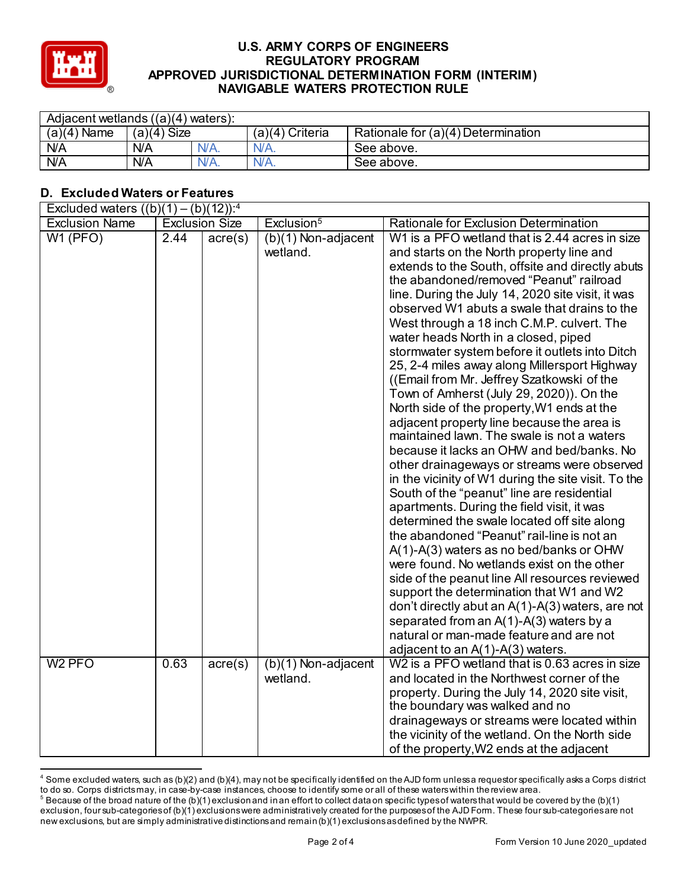

| Adjacent wetlands $((a)(4)$ waters): |               |      |                   |                                    |  |
|--------------------------------------|---------------|------|-------------------|------------------------------------|--|
| $(a)(4)$ Name                        | $(a)(4)$ Size |      | $(a)(4)$ Criteria | Rationale for (a)(4) Determination |  |
| N/A                                  | <b>N/A</b>    | N/A. | N/A.              | See above.                         |  |
| N/A                                  | <b>N/A</b>    | N/A. | N/A.              | See above.                         |  |

## **D. Excluded Waters or Features**

| Excluded waters $((b)(1) - (b)(12))$ : <sup>4</sup> |      |                       |                        |                                                     |
|-----------------------------------------------------|------|-----------------------|------------------------|-----------------------------------------------------|
| <b>Exclusion Name</b>                               |      | <b>Exclusion Size</b> | Exclusion <sup>5</sup> | Rationale for Exclusion Determination               |
| $W1$ (PFO)                                          | 2.44 | $\text{acre}(s)$      | $(b)(1)$ Non-adjacent  | W1 is a PFO wetland that is 2.44 acres in size      |
|                                                     |      |                       | wetland.               | and starts on the North property line and           |
|                                                     |      |                       |                        | extends to the South, offsite and directly abuts    |
|                                                     |      |                       |                        | the abandoned/removed "Peanut" railroad             |
|                                                     |      |                       |                        | line. During the July 14, 2020 site visit, it was   |
|                                                     |      |                       |                        | observed W1 abuts a swale that drains to the        |
|                                                     |      |                       |                        | West through a 18 inch C.M.P. culvert. The          |
|                                                     |      |                       |                        | water heads North in a closed, piped                |
|                                                     |      |                       |                        | stormwater system before it outlets into Ditch      |
|                                                     |      |                       |                        | 25, 2-4 miles away along Millersport Highway        |
|                                                     |      |                       |                        | ((Email from Mr. Jeffrey Szatkowski of the          |
|                                                     |      |                       |                        | Town of Amherst (July 29, 2020)). On the            |
|                                                     |      |                       |                        | North side of the property, W1 ends at the          |
|                                                     |      |                       |                        | adjacent property line because the area is          |
|                                                     |      |                       |                        | maintained lawn. The swale is not a waters          |
|                                                     |      |                       |                        | because it lacks an OHW and bed/banks. No           |
|                                                     |      |                       |                        | other drainageways or streams were observed         |
|                                                     |      |                       |                        | in the vicinity of W1 during the site visit. To the |
|                                                     |      |                       |                        | South of the "peanut" line are residential          |
|                                                     |      |                       |                        | apartments. During the field visit, it was          |
|                                                     |      |                       |                        | determined the swale located off site along         |
|                                                     |      |                       |                        | the abandoned "Peanut" rail-line is not an          |
|                                                     |      |                       |                        | A(1)-A(3) waters as no bed/banks or OHW             |
|                                                     |      |                       |                        | were found. No wetlands exist on the other          |
|                                                     |      |                       |                        | side of the peanut line All resources reviewed      |
|                                                     |      |                       |                        | support the determination that W1 and W2            |
|                                                     |      |                       |                        | don't directly abut an A(1)-A(3) waters, are not    |
|                                                     |      |                       |                        | separated from an A(1)-A(3) waters by a             |
|                                                     |      |                       |                        | natural or man-made feature and are not             |
|                                                     |      |                       |                        | adjacent to an $A(1)-A(3)$ waters.                  |
| W <sub>2</sub> PFO                                  | 0.63 | acre(s)               | $(b)(1)$ Non-adjacent  | W2 is a PFO wetland that is 0.63 acres in size      |
|                                                     |      |                       | wetland.               | and located in the Northwest corner of the          |
|                                                     |      |                       |                        | property. During the July 14, 2020 site visit,      |
|                                                     |      |                       |                        | the boundary was walked and no                      |
|                                                     |      |                       |                        | drainageways or streams were located within         |
|                                                     |      |                       |                        | the vicinity of the wetland. On the North side      |
|                                                     |      |                       |                        | of the property, W2 ends at the adjacent            |

<sup>&</sup>lt;sup>4</sup> Some excluded waters, such as (b)(2) and (b)(4), may not be specifically identified on the AJD form unless a requestor specifically asks a Corps district to do so. Corps districts may, in case-by-case instances, choose to identify some or all of these waters within the review area.

 $^5$  Because of the broad nature of the (b)(1) exclusion and in an effort to collect data on specific types of waters that would be covered by the (b)(1) exclusion, four sub-categoriesof (b)(1) exclusions were administratively created for the purposes of the AJD Form. These four sub-categoriesare not new exclusions, but are simply administrative distinctions and remain (b)(1) exclusions as defined by the NWPR.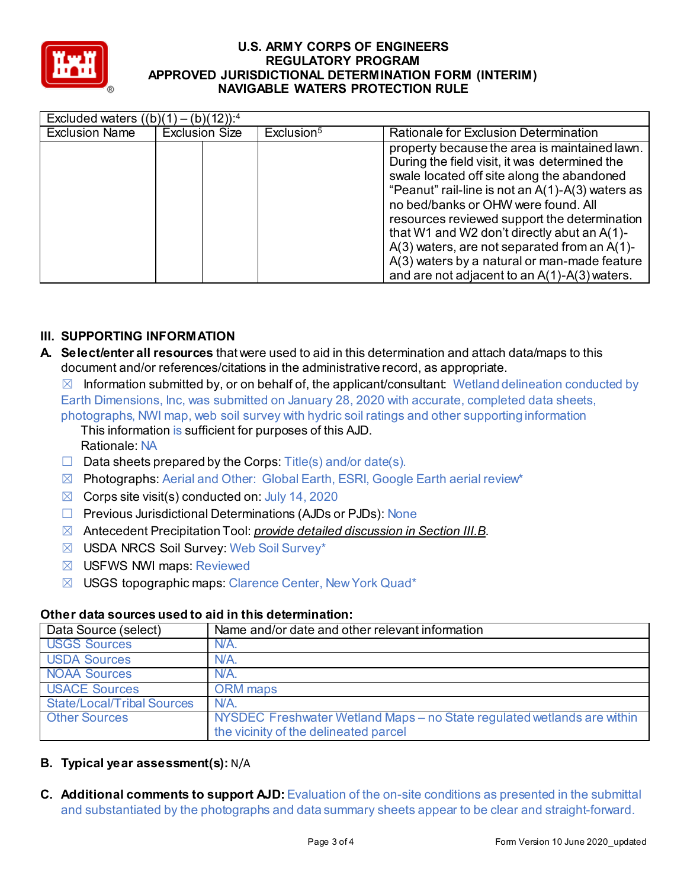

| Excluded waters $((b)(1) - (b)(12))$ : <sup>4</sup> |                       |  |                        |                                                                                                                                                                                                                                                                                                                                                                                                                                                                                               |  |
|-----------------------------------------------------|-----------------------|--|------------------------|-----------------------------------------------------------------------------------------------------------------------------------------------------------------------------------------------------------------------------------------------------------------------------------------------------------------------------------------------------------------------------------------------------------------------------------------------------------------------------------------------|--|
| <b>Exclusion Name</b>                               | <b>Exclusion Size</b> |  | Exclusion <sup>5</sup> | <b>Rationale for Exclusion Determination</b>                                                                                                                                                                                                                                                                                                                                                                                                                                                  |  |
|                                                     |                       |  |                        | property because the area is maintained lawn.<br>During the field visit, it was determined the<br>swale located off site along the abandoned<br>"Peanut" rail-line is not an A(1)-A(3) waters as<br>no bed/banks or OHW were found. All<br>resources reviewed support the determination<br>that W1 and W2 don't directly abut an A(1)-<br>$A(3)$ waters, are not separated from an $A(1)$ -<br>A(3) waters by a natural or man-made feature<br>and are not adjacent to an $A(1)-A(3)$ waters. |  |

# **III. SUPPORTING INFORMATION**

**A. Select/enter all resources** that were used to aid in this determination and attach data/maps to this document and/or references/citations in the administrative record, as appropriate.

 $\boxtimes$  Information submitted by, or on behalf of, the applicant/consultant: Wetland delineation conducted by Earth Dimensions, Inc, was submitted on January 28, 2020 with accurate, completed data sheets, photographs, NWI map, web soil survey with hydric soil ratings and other supporting information

This information is sufficient for purposes of this AJD. Rationale: NA

- $\Box$  Data sheets prepared by the Corps: Title(s) and/or date(s).
- $\boxtimes$  Photographs: Aerial and Other: Global Earth, ESRI, Google Earth aerial review\*
- $\boxtimes$  Corps site visit(s) conducted on: July 14, 2020
- □ Previous Jurisdictional Determinations (AJDs or PJDs): None
- ☒ Antecedent Precipitation Tool: *provide detailed discussion in Section III.B*.
- ☒ USDA NRCS Soil Survey: Web Soil Survey\*
- ☒ USFWS NWI maps: Reviewed
- ☒ USGS topographic maps: Clarence Center, New York Quad\*

## **Other data sources used to aid in this determination:**

| Data Source (select)              | Name and/or date and other relevant information                         |
|-----------------------------------|-------------------------------------------------------------------------|
| <b>USGS Sources</b>               | N/A.                                                                    |
| <b>USDA Sources</b>               | N/A                                                                     |
| <b>NOAA Sources</b>               | N/A.                                                                    |
| <b>USACE Sources</b>              | <b>ORM</b> maps                                                         |
| <b>State/Local/Tribal Sources</b> | N/A                                                                     |
| <b>Other Sources</b>              | NYSDEC Freshwater Wetland Maps – no State regulated wetlands are within |
|                                   | the vicinity of the delineated parcel                                   |

# **B. Typical year assessment(s):** N/A

**C. Additional comments to support AJD:** Evaluation of the on-site conditions as presented in the submittal and substantiated by the photographs and data summary sheets appear to be clear and straight-forward.